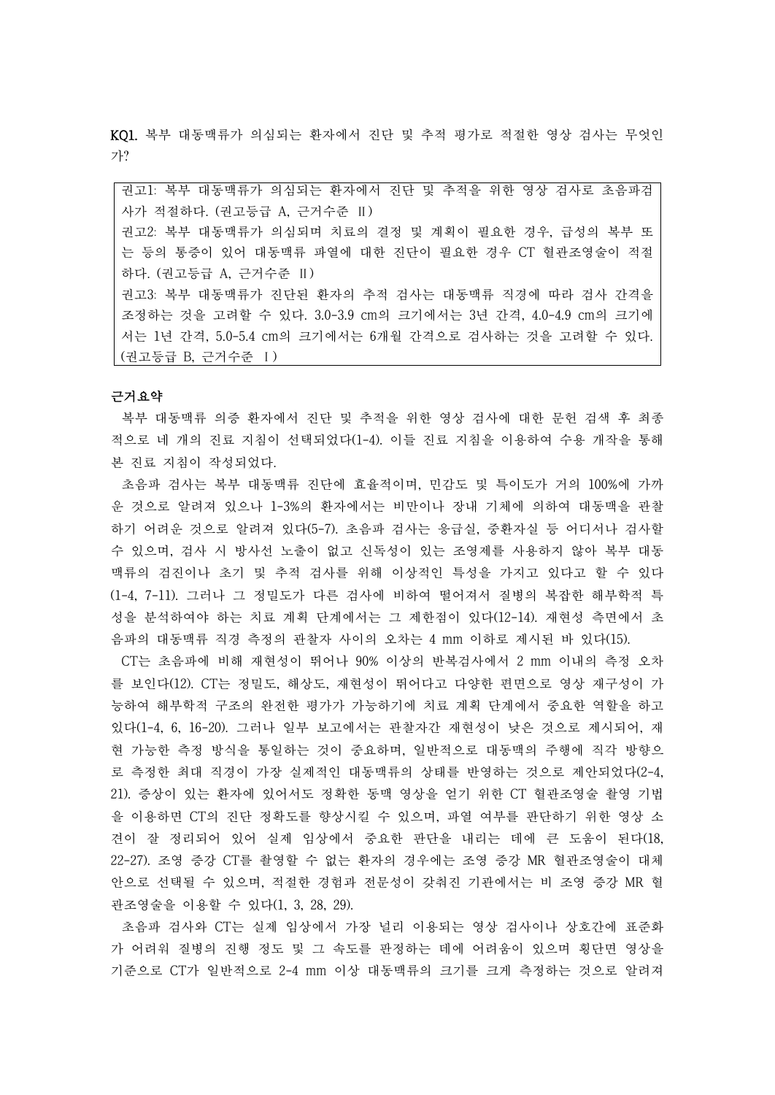KQ1. 복부 대동맥류가 의심되는 환자에서 진단 및 추적 평가로 적절한 영상 검사는 무엇인 가?

권고1: 복부 대동맥류가 의심되는 환자에서 진단 및 추적을 위한 영상 검사로 초음파검 사가 적절하다. (권고등급 A, 근거수준 Ⅱ) 권고2: 복부 대동맥류가 의심되며 치료의 결정 및 계획이 필요한 경우, 급성의 복부 또 는 등의 통증이 있어 대동맥류 파열에 대한 진단이 필요한 경우 CT 혈관조영술이 적절 하다. (권고등급 A, 근거수준 Ⅱ) 권고3: 복부 대동맥류가 진단된 환자의 추적 검사는 대동맥류 직경에 따라 검사 간격을 조정하는 것을 고려할 수 있다. 3.0-3.9 cm의 크기에서는 3년 간격, 4.0-4.9 cm의 크기에 서는 1년 간격, 5.0-5.4 cm의 크기에서는 6개월 간격으로 검사하는 것을 고려할 수 있다. (권고등급 B, 근거수준 Ⅰ)

## 근거요약

복부 대동맥류 의증 환자에서 진단 및 추적을 위한 영상 검사에 대한 문헌 검색 후 최종 적으로 네 개의 진료 지침이 선택되었다(1-4). 이들 진료 지침을 이용하여 수용 개작을 통해 본 진료 지침이 작성되었다.

초음파 검사는 복부 대동맥류 진단에 효율적이며, 민감도 및 특이도가 거의 100%에 가까 운 것으로 알려져 있으나 1-3%의 환자에서는 비만이나 장내 기체에 의하여 대동맥을 관찰 하기 어려운 것으로 알려져 있다(5-7). 초음파 검사는 응급실, 중환자실 등 어디서나 검사할 수 있으며, 검사 시 방사선 노출이 없고 신독성이 있는 조영제를 사용하지 않아 복부 대동 맥류의 검진이나 초기 및 추적 검사를 위해 이상적인 특성을 가지고 있다고 할 수 있다 (1-4, 7-11). 그러나 그 정밀도가 다른 검사에 비하여 떨어져서 질병의 복잡한 해부학적 특 성을 분석하여야 하는 치료 계획 단계에서는 그 제한점이 있다(12-14). 재현성 측면에서 초 음파의 대동맥류 직경 측정의 관찰자 사이의 오차는 4 mm 이하로 제시된 바 있다(15).

CT는 초음파에 비해 재현성이 뛰어나 90% 이상의 반복검사에서 2 mm 이내의 측정 오차 를 보인다(12). CT는 정밀도, 해상도, 재현성이 뛰어다고 다양한 편면으로 영상 재구성이 가 능하여 해부학적 구조의 완전한 평가가 가능하기에 치료 계획 단계에서 중요한 역할을 하고 있다(1-4, 6, 16-20). 그러나 일부 보고에서는 관찰자간 재현성이 낮은 것으로 제시되어, 재 현 가능한 측정 방식을 통일하는 것이 중요하며, 일반적으로 대동맥의 주행에 직각 방향으 로 측정한 최대 직경이 가장 실제적인 대동맥류의 상태를 반영하는 것으로 제안되었다(2-4, 21). 증상이 있는 환자에 있어서도 정확한 동맥 영상을 얻기 위한 CT 혈관조영술 촬영 기법 을 이용하면 CT의 진단 정확도를 향상시킬 수 있으며, 파열 여부를 판단하기 위한 영상 소 견이 잘 정리되어 있어 실제 임상에서 중요한 판단을 내리는 데에 큰 도움이 된다(18, 22-27). 조영 증강 CT를 촬영할 수 없는 환자의 경우에는 조영 증강 MR 혈관조영술이 대체 안으로 선택될 수 있으며, 적절한 경험과 전문성이 갖춰진 기관에서는 비 조영 증강 MR 혈 관조영술을 이용할 수 있다(1, 3, 28, 29).

초음파 검사와 CT는 실제 임상에서 가장 널리 이용되는 영상 검사이나 상호간에 표준화 가 어려워 질병의 진행 정도 및 그 속도를 판정하는 데에 어려움이 있으며 횡단면 영상을 기준으로 CT가 일반적으로 2-4 mm 이상 대동맥류의 크기를 크게 측정하는 것으로 알려져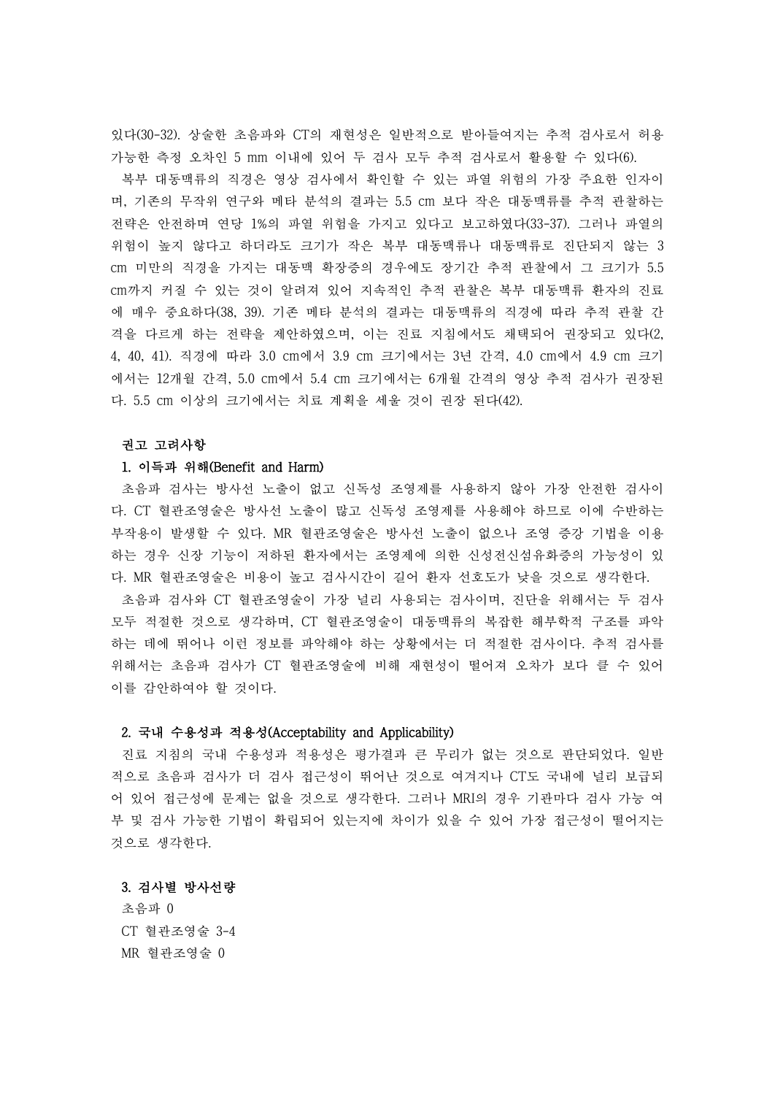있다(30-32). 상술한 초음파와 CT의 재현성은 일반적으로 받아들여지는 추적 검사로서 허용 가능한 측정 오차인 5 mm 이내에 있어 두 검사 모두 추적 검사로서 활용할 수 있다(6).

복부 대동맥류의 직경은 영상 검사에서 확인할 수 있는 파열 위험의 가장 주요한 인자이 며, 기존의 무작위 연구와 메타 분석의 결과는 5.5 cm 보다 작은 대동맥류를 추적 관찰하는 전략은 안전하며 연당 1%의 파열 위험을 가지고 있다고 보고하였다(33-37). 그러나 파열의 위험이 높지 않다고 하더라도 크기가 작은 복부 대동맥류나 대동맥류로 진단되지 않는 3 cm 미만의 직경을 가지는 대동맥 확장증의 경우에도 장기간 추적 관찰에서 그 크기가 5.5 cm까지 커질 수 있는 것이 알려져 있어 지속적인 추적 관찰은 복부 대동맥류 환자의 진료 에 매우 중요하다(38, 39). 기존 메타 분석의 결과는 대동맥류의 직경에 따라 추적 관찰 간 격을 다르게 하는 전략을 제안하였으며, 이는 진료 지침에서도 채택되어 권장되고 있다(2, 4, 40, 41). 직경에 따라 3.0 cm에서 3.9 cm 크기에서는 3년 간격, 4.0 cm에서 4.9 cm 크기 에서는 12개월 간격, 5.0 cm에서 5.4 cm 크기에서는 6개월 간격의 영상 추적 검사가 권장된 다. 5.5 cm 이상의 크기에서는 치료 계획을 세울 것이 권장 된다(42).

#### 권고 고려사항

#### 1. 이득과 위해(Benefit and Harm)

초음파 검사는 방사선 노출이 없고 신독성 조영제를 사용하지 않아 가장 안전한 검사이 다. CT 혈관조영술은 방사선 노출이 많고 신독성 조영제를 사용해야 하므로 이에 수반하는 부작용이 발생할 수 있다. MR 혈관조영술은 방사선 노출이 없으나 조영 증강 기법을 이용 하는 경우 신장 기능이 저하된 환자에서는 조영제에 의한 신성전신섬유화증의 가능성이 있 다. MR 혈관조영술은 비용이 높고 검사시간이 길어 환자 선호도가 낮을 것으로 생각한다.<br>- 초음파 검사와 CT 혈관조영술이 가장 널리 사용되는 검사이며, 진단을 위해서는 두 검사

모두 적절한 것으로 생각하며, CT 혈관조영술이 대동맥류의 복잡한 해부학적 구조를 파악 하는 데에 뛰어나 이런 정보를 파악해야 하는 상황에서는 더 적절한 검사이다. 추적 검사를 위해서는 초음파 검사가 CT 혈관조영술에 비해 재현성이 떨어져 오차가 보다 클 수 있어 이를 감안하여야 할 것이다.

## 2. 국내 수용성과 적용성(Acceptability and Applicability)

진료 지침의 국내 수용성과 적용성은 평가결과 큰 무리가 없는 것으로 판단되었다. 일반 적으로 초음파 검사가 더 검사 접근성이 뛰어난 것으로 여겨지나 CT도 국내에 널리 보급되 어 있어 접근성에 문제는 없을 것으로 생각한다. 그러나 MRI의 경우 기관마다 검사 가능 여 부 및 검사 가능한 기법이 확립되어 있는지에 차이가 있을 수 있어 가장 접근성이 떨어지는 것으로 생각한다.

## 3. 검사별 방사선량

초음파 0 CT 혈관조영술 3-4 MR 혈관조영술 0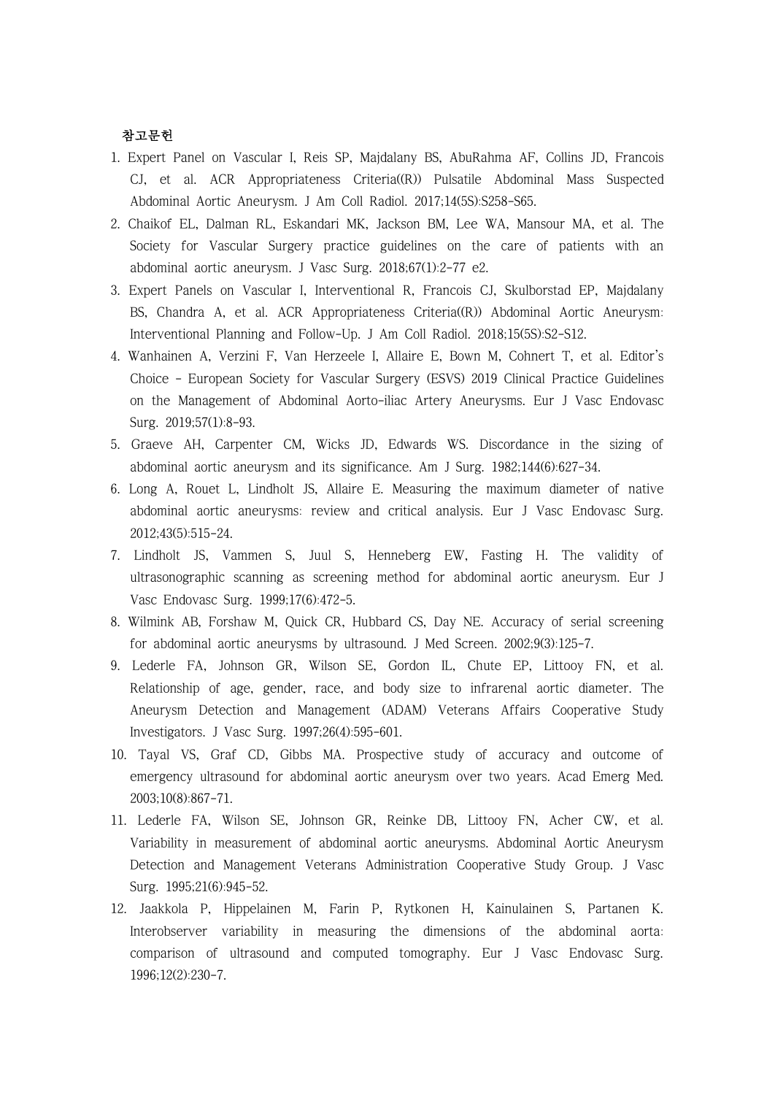# 참고문헌

- 1. Expert Panel on Vascular I, Reis SP, Majdalany BS, AbuRahma AF, Collins JD, Francois CJ, et al. ACR Appropriateness Criteria((R)) Pulsatile Abdominal Mass Suspected Abdominal Aortic Aneurysm. J Am Coll Radiol. 2017;14(5S):S258-S65.
- 2. Chaikof EL, Dalman RL, Eskandari MK, Jackson BM, Lee WA, Mansour MA, et al. The Society for Vascular Surgery practice guidelines on the care of patients with an abdominal aortic aneurysm. J Vasc Surg. 2018;67(1):2-77 e2.
- 3. Expert Panels on Vascular I, Interventional R, Francois CJ, Skulborstad EP, Majdalany BS, Chandra A, et al. ACR Appropriateness Criteria((R)) Abdominal Aortic Aneurysm: Interventional Planning and Follow-Up. J Am Coll Radiol. 2018;15(5S):S2-S12.
- 4. Wanhainen A, Verzini F, Van Herzeele I, Allaire E, Bown M, Cohnert T, et al. Editor's Choice - European Society for Vascular Surgery (ESVS) 2019 Clinical Practice Guidelines on the Management of Abdominal Aorto-iliac Artery Aneurysms. Eur J Vasc Endovasc Surg. 2019;57(1):8-93.
- 5. Graeve AH, Carpenter CM, Wicks JD, Edwards WS. Discordance in the sizing of abdominal aortic aneurysm and its significance. Am J Surg. 1982;144(6):627-34.
- 6. Long A, Rouet L, Lindholt JS, Allaire E. Measuring the maximum diameter of native abdominal aortic aneurysms: review and critical analysis. Eur J Vasc Endovasc Surg. 2012;43(5):515-24.
- 7. Lindholt JS, Vammen S, Juul S, Henneberg EW, Fasting H. The validity of ultrasonographic scanning as screening method for abdominal aortic aneurysm. Eur J Vasc Endovasc Surg. 1999;17(6):472-5.
- 8. Wilmink AB, Forshaw M, Quick CR, Hubbard CS, Day NE. Accuracy of serial screening for abdominal aortic aneurysms by ultrasound. J Med Screen. 2002;9(3):125-7.
- 9. Lederle FA, Johnson GR, Wilson SE, Gordon IL, Chute EP, Littooy FN, et al. Relationship of age, gender, race, and body size to infrarenal aortic diameter. The Aneurysm Detection and Management (ADAM) Veterans Affairs Cooperative Study Investigators. J Vasc Surg. 1997;26(4):595-601.
- 10. Tayal VS, Graf CD, Gibbs MA. Prospective study of accuracy and outcome of emergency ultrasound for abdominal aortic aneurysm over two years. Acad Emerg Med. 2003;10(8):867-71.
- 11. Lederle FA, Wilson SE, Johnson GR, Reinke DB, Littooy FN, Acher CW, et al. Variability in measurement of abdominal aortic aneurysms. Abdominal Aortic Aneurysm Detection and Management Veterans Administration Cooperative Study Group. J Vasc Surg. 1995;21(6):945-52.
- 12. Jaakkola P, Hippelainen M, Farin P, Rytkonen H, Kainulainen S, Partanen K. Interobserver variability in measuring the dimensions of the abdominal aorta: comparison of ultrasound and computed tomography. Eur J Vasc Endovasc Surg. 1996;12(2):230-7.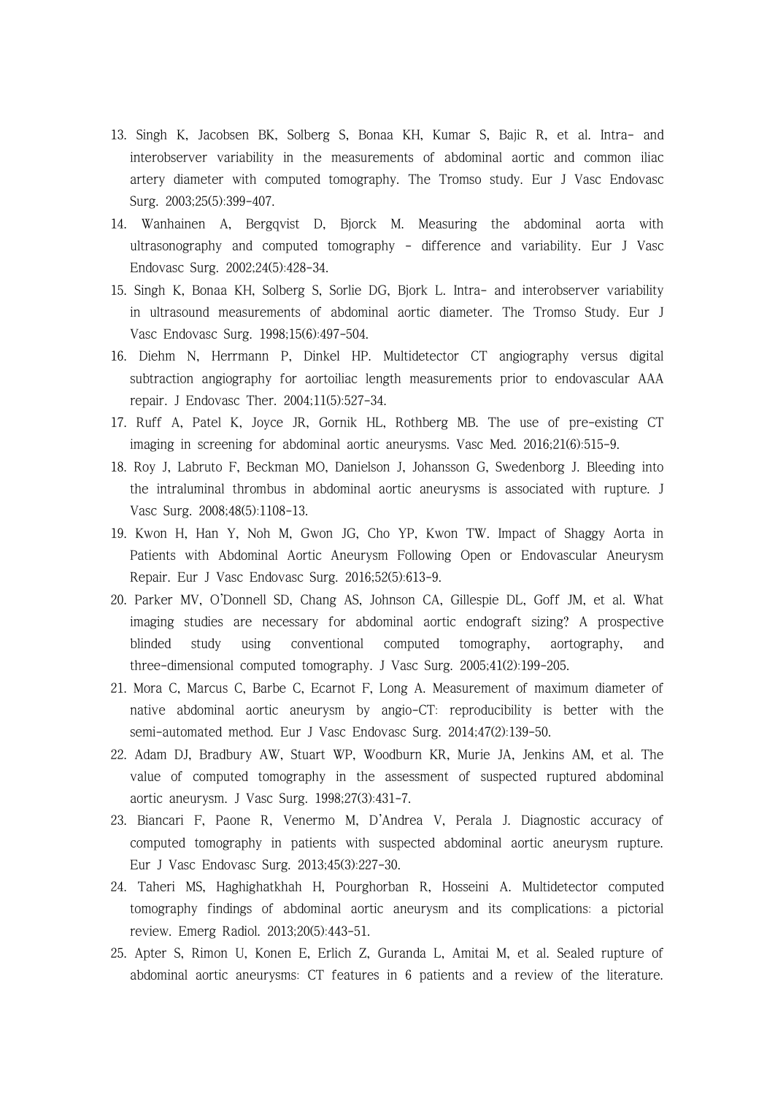- 13. Singh K, Jacobsen BK, Solberg S, Bonaa KH, Kumar S, Bajic R, et al. Intra- and interobserver variability in the measurements of abdominal aortic and common iliac artery diameter with computed tomography. The Tromso study. Eur J Vasc Endovasc Surg. 2003;25(5):399-407.
- 14. Wanhainen A, Bergqvist D, Bjorck M. Measuring the abdominal aorta with ultrasonography and computed tomography - difference and variability. Eur J Vasc Endovasc Surg. 2002;24(5):428-34.
- 15. Singh K, Bonaa KH, Solberg S, Sorlie DG, Bjork L. Intra- and interobserver variability in ultrasound measurements of abdominal aortic diameter. The Tromso Study. Eur J Vasc Endovasc Surg. 1998;15(6):497-504.
- 16. Diehm N, Herrmann P, Dinkel HP. Multidetector CT angiography versus digital subtraction angiography for aortoiliac length measurements prior to endovascular AAA repair. J Endovasc Ther. 2004;11(5):527-34.
- 17. Ruff A, Patel K, Joyce JR, Gornik HL, Rothberg MB. The use of pre-existing CT imaging in screening for abdominal aortic aneurysms. Vasc Med. 2016;21(6):515-9.
- 18. Roy J, Labruto F, Beckman MO, Danielson J, Johansson G, Swedenborg J. Bleeding into the intraluminal thrombus in abdominal aortic aneurysms is associated with rupture. J Vasc Surg. 2008;48(5):1108-13.
- 19. Kwon H, Han Y, Noh M, Gwon JG, Cho YP, Kwon TW. Impact of Shaggy Aorta in Patients with Abdominal Aortic Aneurysm Following Open or Endovascular Aneurysm Repair. Eur J Vasc Endovasc Surg. 2016;52(5):613-9.
- 20. Parker MV, O'Donnell SD, Chang AS, Johnson CA, Gillespie DL, Goff JM, et al. What imaging studies are necessary for abdominal aortic endograft sizing? A prospective blinded study using conventional computed tomography, aortography, and three-dimensional computed tomography. J Vasc Surg. 2005;41(2):199-205.
- 21. Mora C, Marcus C, Barbe C, Ecarnot F, Long A. Measurement of maximum diameter of native abdominal aortic aneurysm by angio-CT: reproducibility is better with the semi-automated method. Eur J Vasc Endovasc Surg. 2014;47(2):139-50.
- 22. Adam DJ, Bradbury AW, Stuart WP, Woodburn KR, Murie JA, Jenkins AM, et al. The value of computed tomography in the assessment of suspected ruptured abdominal aortic aneurysm. J Vasc Surg. 1998;27(3):431-7.
- 23. Biancari F, Paone R, Venermo M, D'Andrea V, Perala J. Diagnostic accuracy of computed tomography in patients with suspected abdominal aortic aneurysm rupture. Eur J Vasc Endovasc Surg. 2013;45(3):227-30.
- 24. Taheri MS, Haghighatkhah H, Pourghorban R, Hosseini A. Multidetector computed tomography findings of abdominal aortic aneurysm and its complications: a pictorial review. Emerg Radiol. 2013;20(5):443-51.
- 25. Apter S, Rimon U, Konen E, Erlich Z, Guranda L, Amitai M, et al. Sealed rupture of abdominal aortic aneurysms: CT features in 6 patients and a review of the literature.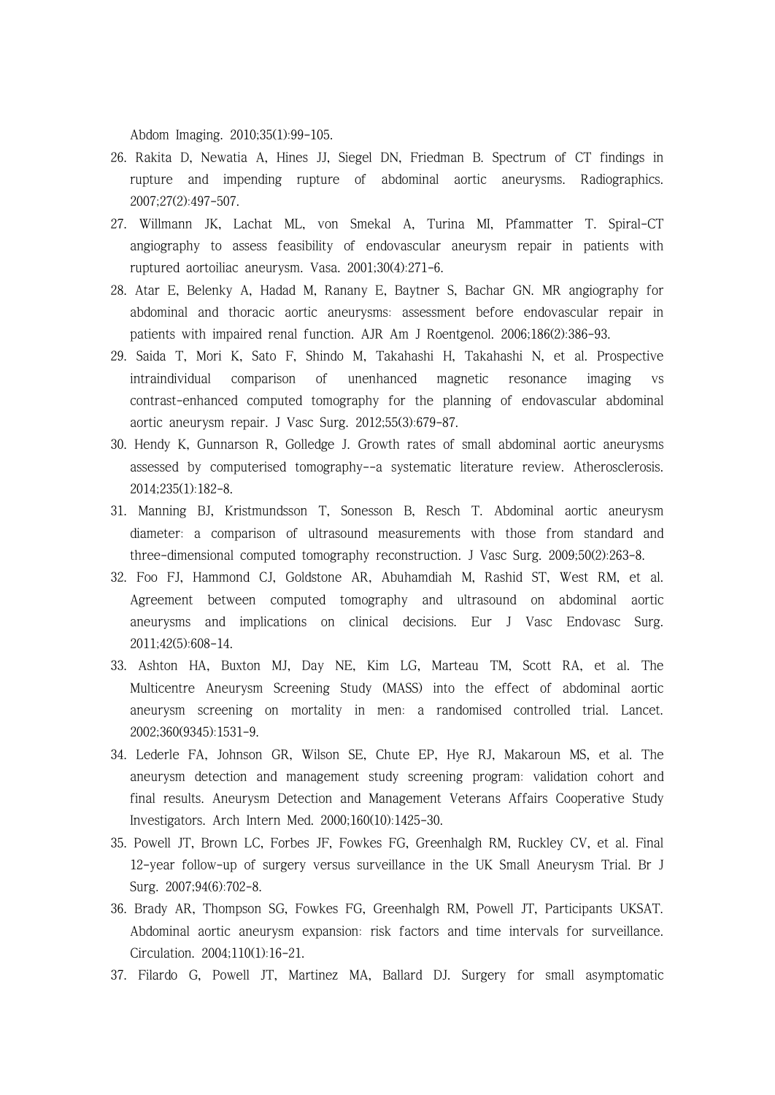Abdom Imaging. 2010;35(1):99-105.

- 26. Rakita D, Newatia A, Hines JJ, Siegel DN, Friedman B. Spectrum of CT findings in rupture and impending rupture of abdominal aortic aneurysms. Radiographics. 2007;27(2):497-507.
- 27. Willmann JK, Lachat ML, von Smekal A, Turina MI, Pfammatter T. Spiral-CT angiography to assess feasibility of endovascular aneurysm repair in patients with ruptured aortoiliac aneurysm. Vasa. 2001;30(4):271-6.
- 28. Atar E, Belenky A, Hadad M, Ranany E, Baytner S, Bachar GN. MR angiography for abdominal and thoracic aortic aneurysms: assessment before endovascular repair in patients with impaired renal function. AJR Am J Roentgenol. 2006;186(2):386-93.
- 29. Saida T, Mori K, Sato F, Shindo M, Takahashi H, Takahashi N, et al. Prospective intraindividual comparison of unenhanced magnetic resonance imaging vs contrast-enhanced computed tomography for the planning of endovascular abdominal aortic aneurysm repair. J Vasc Surg. 2012;55(3):679-87.
- 30. Hendy K, Gunnarson R, Golledge J. Growth rates of small abdominal aortic aneurysms assessed by computerised tomography--a systematic literature review. Atherosclerosis. 2014;235(1):182-8.
- 31. Manning BJ, Kristmundsson T, Sonesson B, Resch T. Abdominal aortic aneurysm diameter: a comparison of ultrasound measurements with those from standard and three-dimensional computed tomography reconstruction. J Vasc Surg. 2009;50(2):263-8.
- 32. Foo FJ, Hammond CJ, Goldstone AR, Abuhamdiah M, Rashid ST, West RM, et al. Agreement between computed tomography and ultrasound on abdominal aortic aneurysms and implications on clinical decisions. Eur J Vasc Endovasc Surg. 2011;42(5):608-14.
- 33. Ashton HA, Buxton MJ, Day NE, Kim LG, Marteau TM, Scott RA, et al. The Multicentre Aneurysm Screening Study (MASS) into the effect of abdominal aortic aneurysm screening on mortality in men: a randomised controlled trial. Lancet. 2002;360(9345):1531-9.
- 34. Lederle FA, Johnson GR, Wilson SE, Chute EP, Hye RJ, Makaroun MS, et al. The aneurysm detection and management study screening program: validation cohort and final results. Aneurysm Detection and Management Veterans Affairs Cooperative Study Investigators. Arch Intern Med. 2000;160(10):1425-30.
- 35. Powell JT, Brown LC, Forbes JF, Fowkes FG, Greenhalgh RM, Ruckley CV, et al. Final 12-year follow-up of surgery versus surveillance in the UK Small Aneurysm Trial. Br J Surg. 2007;94(6):702-8.
- 36. Brady AR, Thompson SG, Fowkes FG, Greenhalgh RM, Powell JT, Participants UKSAT. Abdominal aortic aneurysm expansion: risk factors and time intervals for surveillance. Circulation. 2004;110(1):16-21.
- 37. Filardo G, Powell JT, Martinez MA, Ballard DJ. Surgery for small asymptomatic